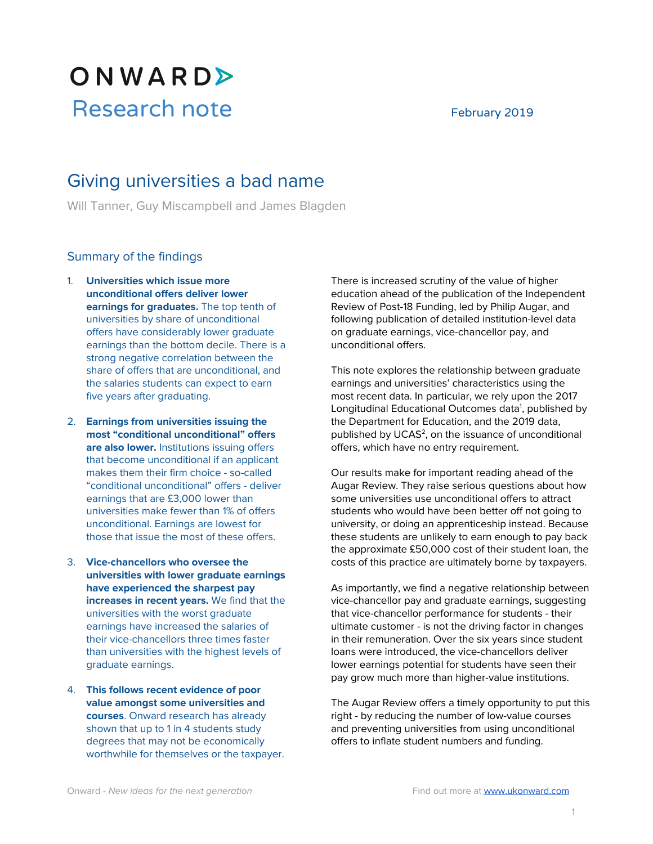# ONWARD> Research note February 2019

## Giving universities a bad name

Will Tanner, Guy Miscampbell and James Blagden

#### Summary of the findings

- 1. **Universities which issue more unconditional offers deliver lower earnings for graduates.** The top tenth of universities by share of unconditional offers have considerably lower graduate earnings than the bottom decile. There is a strong negative correlation between the share of offers that are unconditional, and the salaries students can expect to earn five years after graduating.
- 2. **Earnings from universities issuing the most "conditional unconditional" offers are also lower.** Institutions issuing offers that become unconditional if an applicant makes them their firm choice - so-called "conditional unconditional" offers - deliver earnings that are £3,000 lower than universities make fewer than 1% of offers unconditional. Earnings are lowest for those that issue the most of these offers.
- 3. **Vice-chancellors who oversee the universities with lower graduate earnings have experienced the sharpest pay increases in recent years.** We find that the universities with the worst graduate earnings have increased the salaries of their vice-chancellors three times faster than universities with the highest levels of graduate earnings.
- 4. **This follows recent evidence of poor value amongst some universities and courses**. Onward research has already shown that up to 1 in 4 students study degrees that may not be economically worthwhile for themselves or the taxpayer.

There is increased scrutiny of the value of higher education ahead of the publication of the Independent Review of Post-18 Funding, led by Philip Augar, and following publication of detailed institution-level data on graduate earnings, vice-chancellor pay, and unconditional offers.

This note explores the relationship between graduate earnings and universities' characteristics using the most recent data. In particular, we rely upon the 2017 Longitudinal Educational Outcomes data<sup>1</sup>, published by the Department for Education, and the 2019 data, published by UCAS<sup>2</sup>, on the issuance of unconditional offers, which have no entry requirement.

Our results make for important reading ahead of the Augar Review. They raise serious questions about how some universities use unconditional offers to attract students who would have been better off not going to university, or doing an apprenticeship instead. Because these students are unlikely to earn enough to pay back the approximate £50,000 cost of their student loan, the costs of this practice are ultimately borne by taxpayers.

As importantly, we find a negative relationship between vice-chancellor pay and graduate earnings, suggesting that vice-chancellor performance for students - their ultimate customer - is not the driving factor in changes in their remuneration. Over the six years since student loans were introduced, the vice-chancellors deliver lower earnings potential for students have seen their pay grow much more than higher-value institutions.

The Augar Review offers a timely opportunity to put this right - by reducing the number of low-value courses and preventing universities from using unconditional offers to inflate student numbers and funding.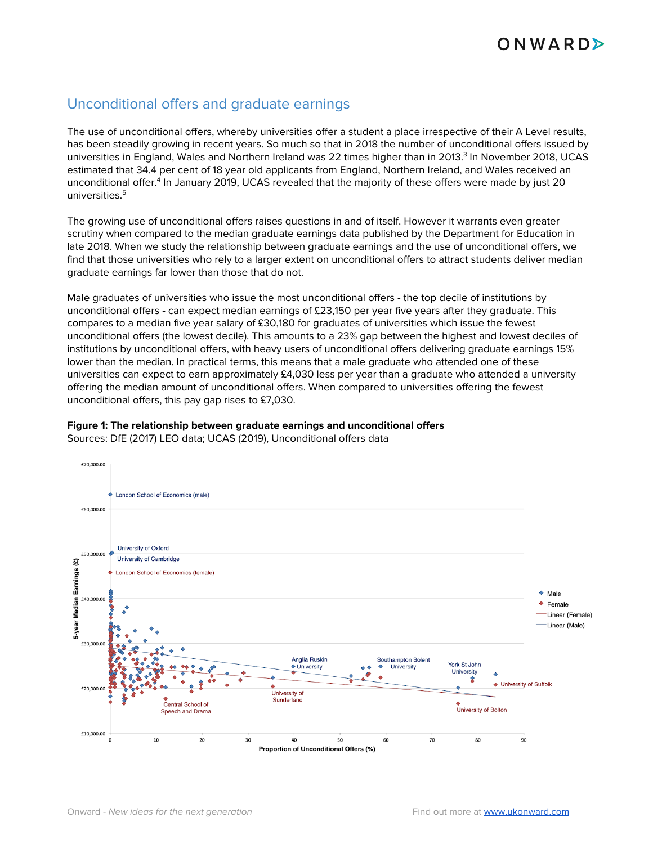### Unconditional offers and graduate earnings

The use of unconditional offers, whereby universities offer a student a place irrespective of their A Level results, has been steadily growing in recent years. So much so that in 2018 the number of unconditional offers issued by universities in England, Wales and Northern Ireland was 22 times higher than in 2013. 3 In November 2018, UCAS estimated that 34.4 per cent of 18 year old applicants from England, Northern Ireland, and Wales received an unconditional offer.<sup>4</sup> In January 2019, UCAS revealed that the majority of these offers were made by just 20 universities. 5

The growing use of unconditional offers raises questions in and of itself. However it warrants even greater scrutiny when compared to the median graduate earnings data published by the Department for Education in late 2018. When we study the relationship between graduate earnings and the use of unconditional offers, we find that those universities who rely to a larger extent on unconditional offers to attract students deliver median graduate earnings far lower than those that do not.

Male graduates of universities who issue the most unconditional offers - the top decile of institutions by unconditional offers - can expect median earnings of £23,150 per year five years after they graduate. This compares to a median five year salary of £30,180 for graduates of universities which issue the fewest unconditional offers (the lowest decile). This amounts to a 23% gap between the highest and lowest deciles of institutions by unconditional offers, with heavy users of unconditional offers delivering graduate earnings 15% lower than the median. In practical terms, this means that a male graduate who attended one of these universities can expect to earn approximately £4,030 less per year than a graduate who attended a university offering the median amount of unconditional offers. When compared to universities offering the fewest unconditional offers, this pay gap rises to £7,030.



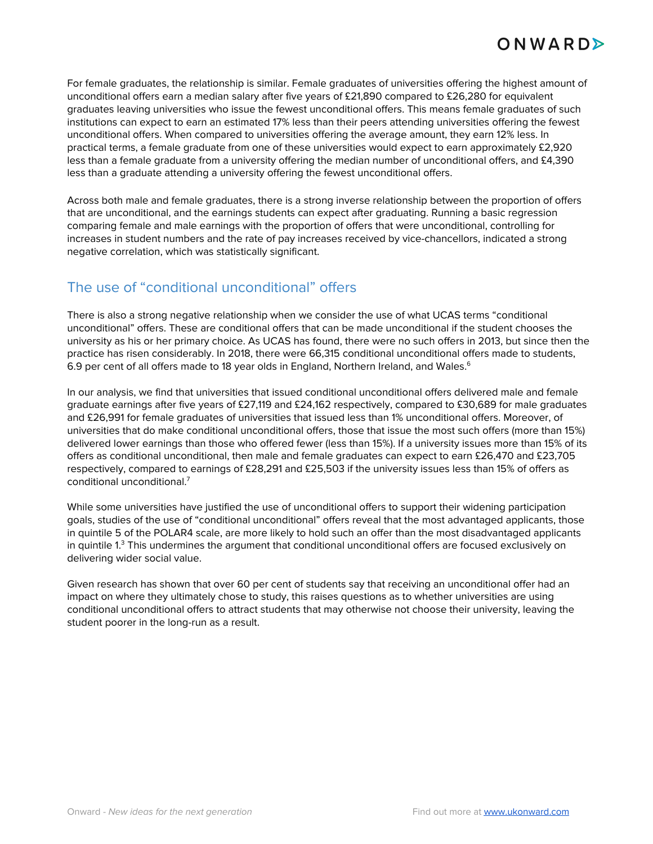For female graduates, the relationship is similar. Female graduates of universities offering the highest amount of unconditional offers earn a median salary after five years of £21,890 compared to £26,280 for equivalent graduates leaving universities who issue the fewest unconditional offers. This means female graduates of such institutions can expect to earn an estimated 17% less than their peers attending universities offering the fewest unconditional offers. When compared to universities offering the average amount, they earn 12% less. In practical terms, a female graduate from one of these universities would expect to earn approximately £2,920 less than a female graduate from a university offering the median number of unconditional offers, and £4,390 less than a graduate attending a university offering the fewest unconditional offers.

Across both male and female graduates, there is a strong inverse relationship between the proportion of offers that are unconditional, and the earnings students can expect after graduating. Running a basic regression comparing female and male earnings with the proportion of offers that were unconditional, controlling for increases in student numbers and the rate of pay increases received by vice-chancellors, indicated a strong negative correlation, which was statistically significant.

### The use of "conditional unconditional" offers

There is also a strong negative relationship when we consider the use of what UCAS terms "conditional unconditional" offers. These are conditional offers that can be made unconditional if the student chooses the university as his or her primary choice. As UCAS has found, there were no such offers in 2013, but since then the practice has risen considerably. In 2018, there were 66,315 conditional unconditional offers made to students, 6.9 per cent of all offers made to 18 year olds in England, Northern Ireland, and Wales.<sup>6</sup>

In our analysis, we find that universities that issued conditional unconditional offers delivered male and female graduate earnings after five years of £27,119 and £24,162 respectively, compared to £30,689 for male graduates and £26,991 for female graduates of universities that issued less than 1% unconditional offers. Moreover, of universities that do make conditional unconditional offers, those that issue the most such offers (more than 15%) delivered lower earnings than those who offered fewer (less than 15%). If a university issues more than 15% of its offers as conditional unconditional, then male and female graduates can expect to earn £26,470 and £23,705 respectively, compared to earnings of £28,291 and £25,503 if the university issues less than 15% of offers as conditional unconditional. 7

While some universities have justified the use of unconditional offers to support their widening participation goals, studies of the use of "conditional unconditional" offers reveal that the most advantaged applicants, those in quintile 5 of the POLAR4 scale, are more likely to hold such an offer than the most disadvantaged applicants in quintile 1.<sup>3</sup> This undermines the argument that conditional unconditional offers are focused exclusively on delivering wider social value.

Given research has shown that over 60 per cent of students say that receiving an unconditional offer had an impact on where they ultimately chose to study, this raises questions as to whether universities are using conditional unconditional offers to attract students that may otherwise not choose their university, leaving the student poorer in the long-run as a result.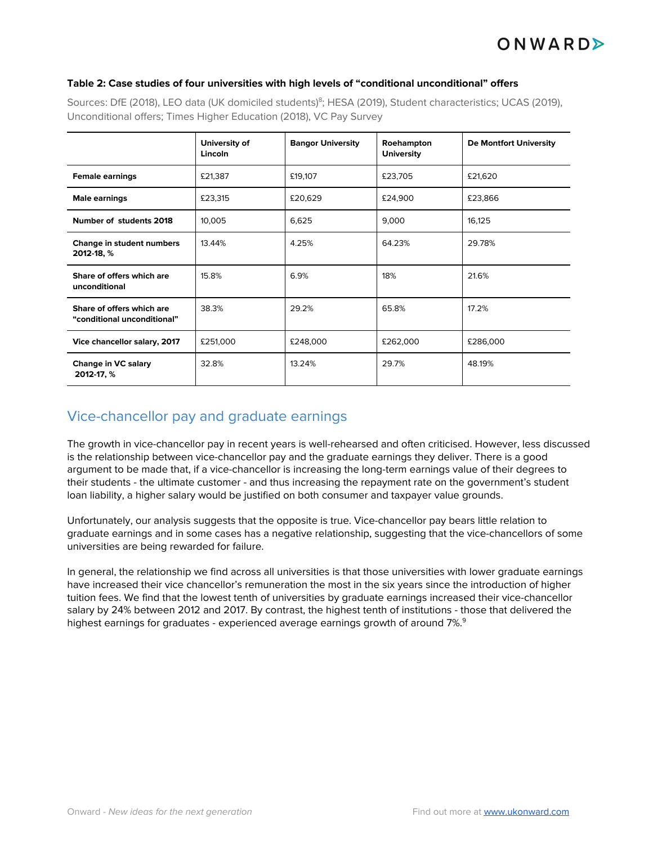#### **Table 2: Case studies of four universities with high levels of "conditional unconditional" offers**

|                                                          | University of<br>Lincoln | <b>Bangor University</b> | Roehampton<br><b>University</b> | <b>De Montfort University</b> |
|----------------------------------------------------------|--------------------------|--------------------------|---------------------------------|-------------------------------|
| <b>Female earnings</b>                                   | £21,387                  | £19,107                  | £23,705                         | £21,620                       |
| <b>Male earnings</b>                                     | £23,315                  | £20,629                  | £24,900                         | £23,866                       |
| Number of students 2018                                  | 10,005                   | 6,625                    | 9,000                           | 16,125                        |
| Change in student numbers<br>2012-18, %                  | 13.44%                   | 4.25%                    | 64.23%                          | 29.78%                        |
| Share of offers which are<br>unconditional               | 15.8%                    | 6.9%                     | 18%                             | 21.6%                         |
| Share of offers which are<br>"conditional unconditional" | 38.3%                    | 29.2%                    | 65.8%                           | 17.2%                         |
| Vice chancellor salary, 2017                             | £251,000                 | £248,000                 | £262,000                        | £286,000                      |
| Change in VC salary<br>2012-17, %                        | 32.8%                    | 13.24%                   | 29.7%                           | 48.19%                        |

Sources: DfE (2018), LEO data (UK domiciled students)<sup>8</sup>; HESA (2019), Student characteristics; UCAS (2019), Unconditional offers; Times Higher Education (2018), VC Pay Survey

### Vice-chancellor pay and graduate earnings

The growth in vice-chancellor pay in recent years is well-rehearsed and often criticised. However, less discussed is the relationship between vice-chancellor pay and the graduate earnings they deliver. There is a good argument to be made that, if a vice-chancellor is increasing the long-term earnings value of their degrees to their students - the ultimate customer - and thus increasing the repayment rate on the government's student loan liability, a higher salary would be justified on both consumer and taxpayer value grounds.

Unfortunately, our analysis suggests that the opposite is true. Vice-chancellor pay bears little relation to graduate earnings and in some cases has a negative relationship, suggesting that the vice-chancellors of some universities are being rewarded for failure.

In general, the relationship we find across all universities is that those universities with lower graduate earnings have increased their vice chancellor's remuneration the most in the six years since the introduction of higher tuition fees. We find that the lowest tenth of universities by graduate earnings increased their vice-chancellor salary by 24% between 2012 and 2017. By contrast, the highest tenth of institutions - those that delivered the highest earnings for graduates - experienced average earnings growth of around 7%. $^{\rm 9}$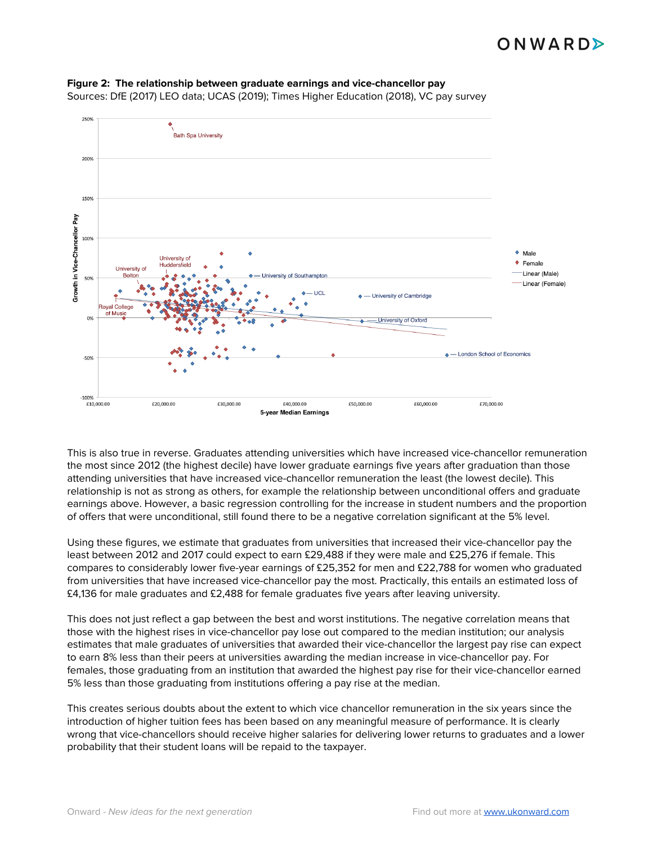

### **Figure 2: The relationship between graduate earnings and vice-chancellor pay**

Sources: DfE (2017) LEO data; UCAS (2019); Times Higher Education (2018), VC pay survey

This is also true in reverse. Graduates attending universities which have increased vice-chancellor remuneration the most since 2012 (the highest decile) have lower graduate earnings five years after graduation than those attending universities that have increased vice-chancellor remuneration the least (the lowest decile). This relationship is not as strong as others, for example the relationship between unconditional offers and graduate earnings above. However, a basic regression controlling for the increase in student numbers and the proportion of offers that were unconditional, still found there to be a negative correlation significant at the 5% level.

Using these figures, we estimate that graduates from universities that increased their vice-chancellor pay the least between 2012 and 2017 could expect to earn £29,488 if they were male and £25,276 if female. This compares to considerably lower five-year earnings of £25,352 for men and £22,788 for women who graduated from universities that have increased vice-chancellor pay the most. Practically, this entails an estimated loss of £4,136 for male graduates and £2,488 for female graduates five years after leaving university.

This does not just reflect a gap between the best and worst institutions. The negative correlation means that those with the highest rises in vice-chancellor pay lose out compared to the median institution; our analysis estimates that male graduates of universities that awarded their vice-chancellor the largest pay rise can expect to earn 8% less than their peers at universities awarding the median increase in vice-chancellor pay. For females, those graduating from an institution that awarded the highest pay rise for their vice-chancellor earned 5% less than those graduating from institutions offering a pay rise at the median.

This creates serious doubts about the extent to which vice chancellor remuneration in the six years since the introduction of higher tuition fees has been based on any meaningful measure of performance. It is clearly wrong that vice-chancellors should receive higher salaries for delivering lower returns to graduates and a lower probability that their student loans will be repaid to the taxpayer.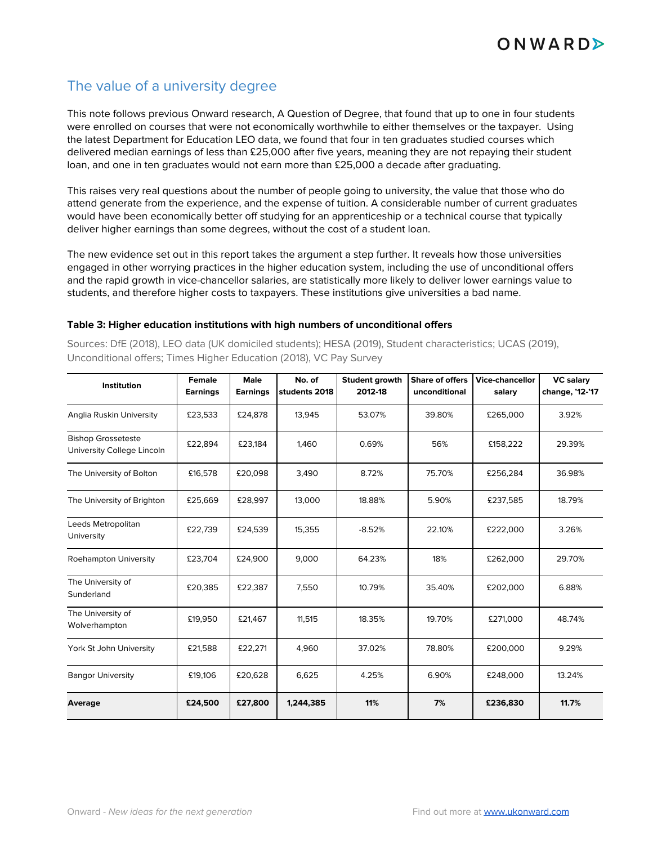### The value of a university degree

This note follows previous Onward research, A Question of Degree, that found that up to one in four students were enrolled on courses that were not economically worthwhile to either themselves or the taxpayer. Using the latest Department for Education LEO data, we found that four in ten graduates studied courses which delivered median earnings of less than £25,000 after five years, meaning they are not repaying their student loan, and one in ten graduates would not earn more than £25,000 a decade after graduating.

This raises very real questions about the number of people going to university, the value that those who do attend generate from the experience, and the expense of tuition. A considerable number of current graduates would have been economically better off studying for an apprenticeship or a technical course that typically deliver higher earnings than some degrees, without the cost of a student loan.

The new evidence set out in this report takes the argument a step further. It reveals how those universities engaged in other worrying practices in the higher education system, including the use of unconditional offers and the rapid growth in vice-chancellor salaries, are statistically more likely to deliver lower earnings value to students, and therefore higher costs to taxpayers. These institutions give universities a bad name.

#### **Table 3: Higher education institutions with high numbers of unconditional offers**

Sources: DfE (2018), LEO data (UK domiciled students); HESA (2019), Student characteristics; UCAS (2019), Unconditional offers; Times Higher Education (2018), VC Pay Survey

| Institution                                             | <b>Female</b><br><b>Earnings</b> | <b>Male</b><br><b>Earnings</b> | No. of<br>students 2018 | Student growth<br>2012-18 | <b>Share of offers</b><br>unconditional | <b>Vice-chancellor</b><br>salary | <b>VC salary</b><br>change, '12-'17 |
|---------------------------------------------------------|----------------------------------|--------------------------------|-------------------------|---------------------------|-----------------------------------------|----------------------------------|-------------------------------------|
| Anglia Ruskin University                                | £23,533                          | £24,878                        | 13,945                  | 53.07%                    | 39.80%                                  | £265,000                         | 3.92%                               |
| <b>Bishop Grosseteste</b><br>University College Lincoln | £22,894                          | £23,184                        | 1,460                   | 0.69%                     | 56%                                     | £158,222                         | 29.39%                              |
| The University of Bolton                                | £16,578                          | £20,098                        | 3,490                   | 8.72%                     | 75.70%                                  | £256,284                         | 36.98%                              |
| The University of Brighton                              | £25,669                          | £28,997                        | 13,000                  | 18.88%                    | 5.90%                                   | £237,585                         | 18.79%                              |
| Leeds Metropolitan<br>University                        | £22,739                          | £24,539                        | 15,355                  | $-8.52%$                  | 22.10%                                  | £222,000                         | 3.26%                               |
| <b>Roehampton University</b>                            | £23,704                          | £24,900                        | 9,000                   | 64.23%                    | 18%                                     | £262,000                         | 29.70%                              |
| The University of<br>Sunderland                         | £20,385                          | £22,387                        | 7,550                   | 10.79%                    | 35.40%                                  | £202,000                         | 6.88%                               |
| The University of<br>Wolverhampton                      | £19,950                          | £21,467                        | 11,515                  | 18.35%                    | 19.70%                                  | £271,000                         | 48.74%                              |
| York St John University                                 | £21,588                          | £22,271                        | 4,960                   | 37.02%                    | 78.80%                                  | £200,000                         | 9.29%                               |
| <b>Bangor University</b>                                | £19,106                          | £20,628                        | 6,625                   | 4.25%                     | 6.90%                                   | £248,000                         | 13.24%                              |
| Average                                                 | £24,500                          | £27,800                        | 1,244,385               | 11%                       | 7%                                      | £236,830                         | 11.7%                               |